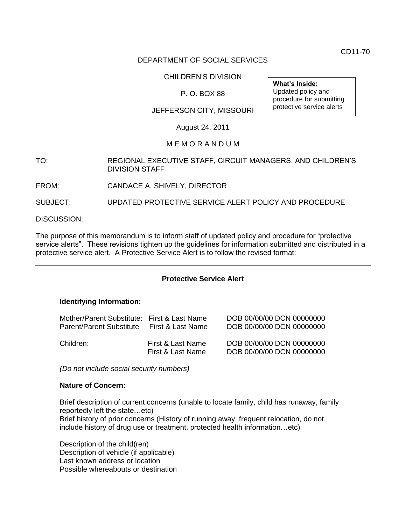CD11-70

#### DEPARTMENT OF SOCIAL SERVICES

#### CHILDREN'S DIVISION

## P. O. BOX 88

## JEFFERSON CITY, MISSOURI

August 24, 2011

## M E M O R A N D U M

TO: REGIONAL EXECUTIVE STAFF, CIRCUIT MANAGERS, AND CHILDREN'S DIVISION STAFF

FROM: CANDACE A. SHIVELY, DIRECTOR

SUBJECT: UPDATED PROTECTIVE SERVICE ALERT POLICY AND PROCEDURE

DISCUSSION:

The purpose of this memorandum is to inform staff of updated policy and procedure for "protective service alerts". These revisions tighten up the guidelines for information submitted and distributed in a protective service alert. A Protective Service Alert is to follow the revised format:

#### **Protective Service Alert**

#### **Identifying Information:**

| Mother/Parent Substitute: First & Last Name<br>Parent/Parent Substitute | First & Last Name                      | DOB 00/00/00 DCN 00000000<br>DOB 00/00/00 DCN 00000000 |
|-------------------------------------------------------------------------|----------------------------------------|--------------------------------------------------------|
| Children:                                                               | First & Last Name<br>First & Last Name | DOB 00/00/00 DCN 00000000<br>DOB 00/00/00 DCN 00000000 |

*(Do not include social security numbers)*

#### **Nature of Concern:**

Brief description of current concerns (unable to locate family, child has runaway, family reportedly left the state…etc)

Brief history of prior concerns (History of running away, frequent relocation, do not include history of drug use or treatment, protected health information…etc)

Description of the child(ren) Description of vehicle (if applicable) Last known address or location Possible whereabouts or destination **What's Inside:** Updated policy and procedure for submitting protective service alerts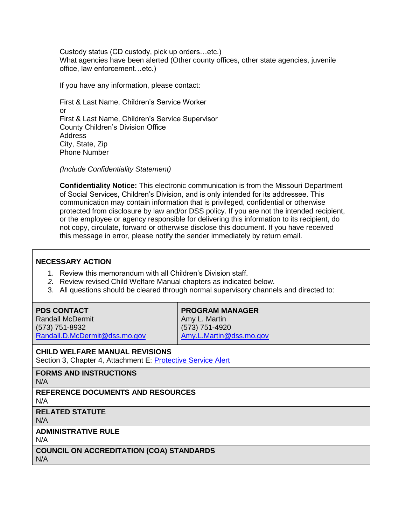Custody status (CD custody, pick up orders…etc.) What agencies have been alerted (Other county offices, other state agencies, juvenile office, law enforcement…etc.)

If you have any information, please contact:

First & Last Name, Children's Service Worker or First & Last Name, Children's Service Supervisor County Children's Division Office **Address** City, State, Zip Phone Number

*(Include Confidentiality Statement)*

**Confidentiality Notice:** This electronic communication is from the Missouri Department of Social Services, Children's Division, and is only intended for its addressee. This communication may contain information that is privileged, confidential or otherwise protected from disclosure by law and/or DSS policy. If you are not the intended recipient, or the employee or agency responsible for delivering this information to its recipient, do not copy, circulate, forward or otherwise disclose this document. If you have received this message in error, please notify the sender immediately by return email.

#### **NECESSARY ACTION**

- 1. Review this memorandum with all Children's Division staff.
- *2.* Review revised Child Welfare Manual chapters as indicated below.
- 3. All questions should be cleared through normal supervisory channels and directed to:

| <b>PDS CONTACT</b>            | <b>PROGRAM MANAGER</b>  |
|-------------------------------|-------------------------|
| <b>Randall McDermit</b>       | Amy L. Martin           |
| $(573) 751 - 8932$            | (573) 751-4920          |
| Randall.D.McDermit@dss.mo.gov | Amy.L.Martin@dss.mo.gov |
|                               |                         |

## **CHILD WELFARE MANUAL REVISIONS**

Section 3, Chapter 4, Attachment E: Protective Service Alert

# **FORMS AND INSTRUCTIONS**

N/A

#### **REFERENCE DOCUMENTS AND RESOURCES** N/A

**RELATED STATUTE**

N/A

## **ADMINISTRATIVE RULE**

N/A

**COUNCIL ON ACCREDITATION (COA) STANDARDS** N/A